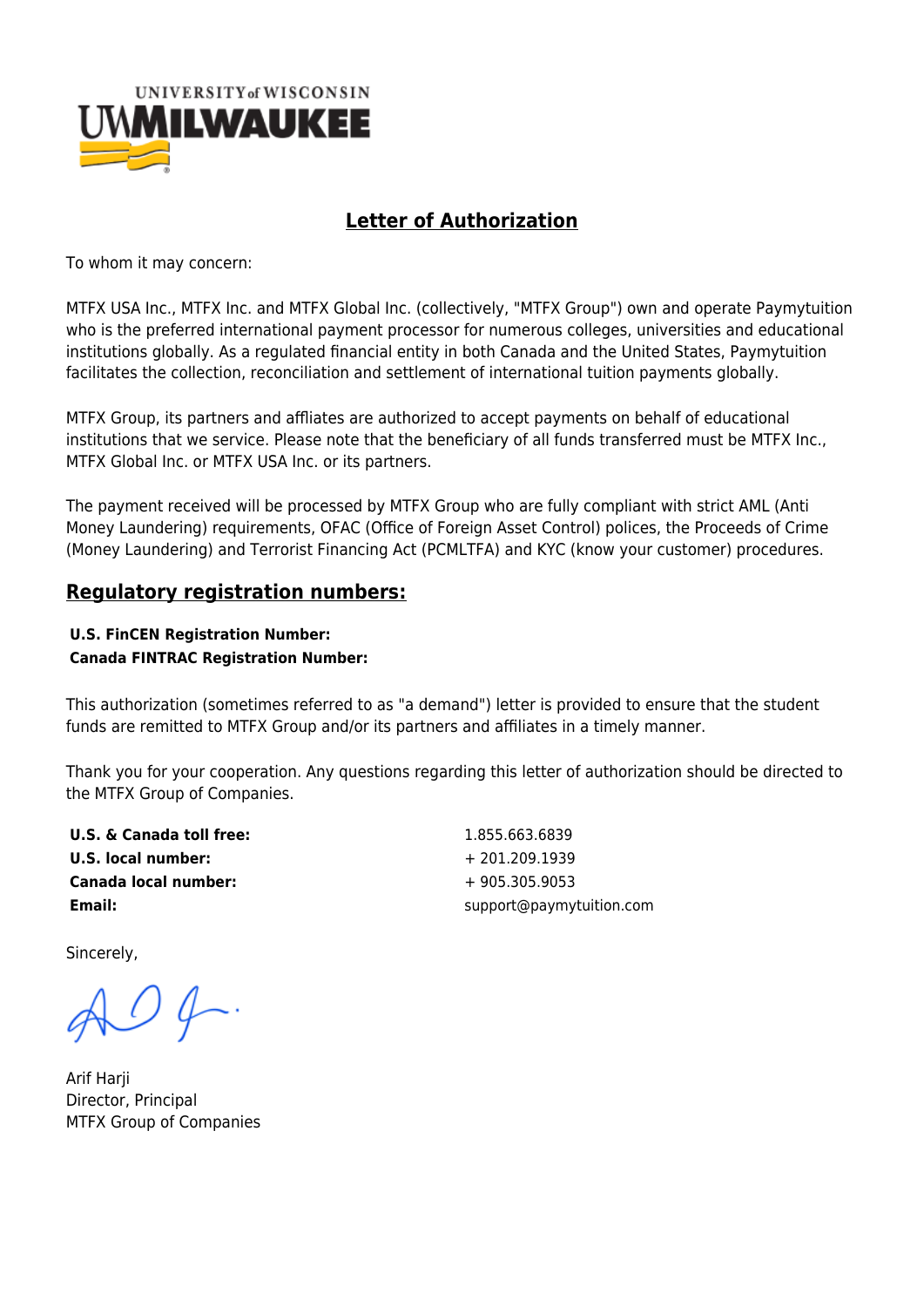

## **Letter of Authorization**

To whom it may concern:

MTFX USA Inc., MTFX Inc. and MTFX Global Inc. (collectively, "MTFX Group") own and operate Paymytuition who is the preferred international payment processor for numerous colleges, universities and educational institutions globally. As a regulated financial entity in both Canada and the United States, Paymytuition facilitates the collection, reconciliation and settlement of international tuition payments globally.

MTFX Group, its partners and affliates are authorized to accept payments on behalf of educational institutions that we service. Please note that the beneficiary of all funds transferred must be MTFX Inc., MTFX Global Inc. or MTFX USA Inc. or its partners.

The payment received will be processed by MTFX Group who are fully compliant with strict AML (Anti Money Laundering) requirements, OFAC (Office of Foreign Asset Control) polices, the Proceeds of Crime (Money Laundering) and Terrorist Financing Act (PCMLTFA) and KYC (know your customer) procedures.

## **Regulatory registration numbers:**

## **U.S. FinCEN Registration Number: Canada FINTRAC Registration Number:**

This authorization (sometimes referred to as "a demand") letter is provided to ensure that the student funds are remitted to MTFX Group and/or its partners and affiliates in a timely manner.

Thank you for your cooperation. Any questions regarding this letter of authorization should be directed to the MTFX Group of Companies.

**U.S. & Canada toll free:** 1.855.663.6839 **U.S. local number:**  $+ 201.209.1939$ **Canada local number:**  $+ 905.305.9053$ 

**Email: Email: Email: Support@paymytuition.com** 

Sincerely,

 $O \oint$ .

Arif Harji Director, Principal MTFX Group of Companies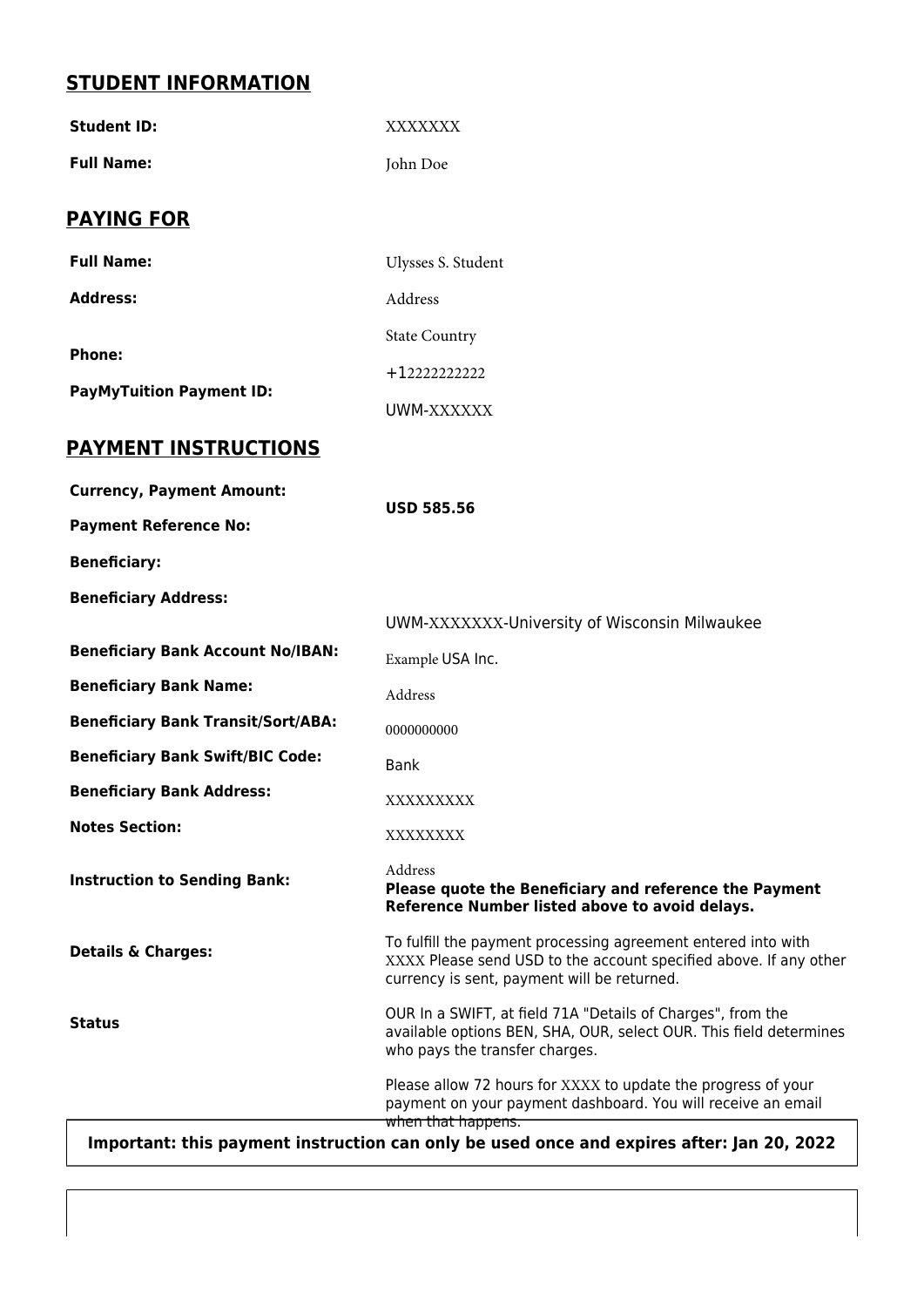## **STUDENT INFORMATION**

| <b>Student ID:</b>                                                                        | XXXXXXX                                                                                                                                                                           |
|-------------------------------------------------------------------------------------------|-----------------------------------------------------------------------------------------------------------------------------------------------------------------------------------|
| <b>Full Name:</b>                                                                         | John Doe                                                                                                                                                                          |
| <b>PAYING FOR</b>                                                                         |                                                                                                                                                                                   |
| <b>Full Name:</b>                                                                         | Ulysses S. Student                                                                                                                                                                |
| <b>Address:</b>                                                                           | Address                                                                                                                                                                           |
| <b>Phone:</b><br><b>PayMyTuition Payment ID:</b>                                          | <b>State Country</b>                                                                                                                                                              |
|                                                                                           | +12222222222                                                                                                                                                                      |
|                                                                                           | UWM-XXXXXX                                                                                                                                                                        |
| <b>PAYMENT INSTRUCTIONS</b>                                                               |                                                                                                                                                                                   |
| <b>Currency, Payment Amount:</b>                                                          | <b>USD 585.56</b>                                                                                                                                                                 |
| <b>Payment Reference No:</b>                                                              |                                                                                                                                                                                   |
| <b>Beneficiary:</b>                                                                       |                                                                                                                                                                                   |
| <b>Beneficiary Address:</b>                                                               |                                                                                                                                                                                   |
|                                                                                           | UWM-XXXXXXX-University of Wisconsin Milwaukee                                                                                                                                     |
| <b>Beneficiary Bank Account No/IBAN:</b>                                                  | Example USA Inc.                                                                                                                                                                  |
| <b>Beneficiary Bank Name:</b>                                                             | Address                                                                                                                                                                           |
| <b>Beneficiary Bank Transit/Sort/ABA:</b>                                                 | 0000000000                                                                                                                                                                        |
| <b>Beneficiary Bank Swift/BIC Code:</b>                                                   | <b>Bank</b>                                                                                                                                                                       |
| <b>Beneficiary Bank Address:</b>                                                          | XXXXXXXXX                                                                                                                                                                         |
| <b>Notes Section:</b>                                                                     | XXXXXXXX                                                                                                                                                                          |
| <b>Instruction to Sending Bank:</b>                                                       | Address<br>Please quote the Beneficiary and reference the Payment<br>Reference Number listed above to avoid delays.                                                               |
| <b>Details &amp; Charges:</b>                                                             | To fulfill the payment processing agreement entered into with<br>XXXX Please send USD to the account specified above. If any other<br>currency is sent, payment will be returned. |
| <b>Status</b>                                                                             | OUR In a SWIFT, at field 71A "Details of Charges", from the<br>available options BEN, SHA, OUR, select OUR. This field determines<br>who pays the transfer charges.               |
|                                                                                           | Please allow 72 hours for XXXX to update the progress of your<br>payment on your payment dashboard. You will receive an email<br>when that happens.                               |
| Important: this payment instruction can only be used once and expires after: Jan 20, 2022 |                                                                                                                                                                                   |